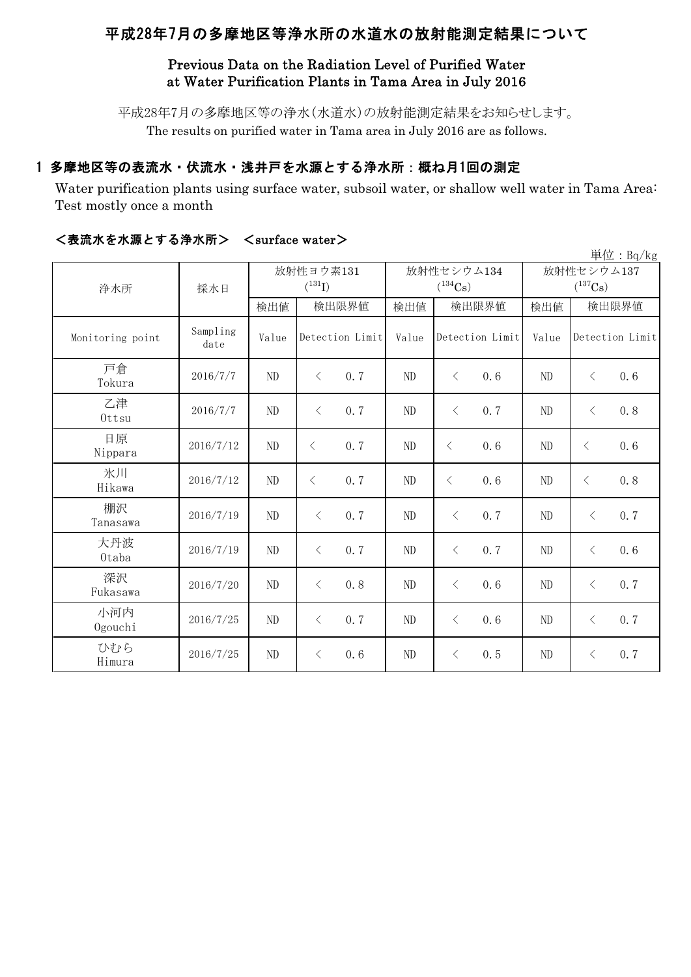# 平成28年7月の多摩地区等浄水所の水道水の放射能測定結果について

## Previous Data on the Radiation Level of Purified Water at Water Purification Plants in Tama Area in July 2016

平成28年7月の多摩地区等の浄水(水道水)の放射能測定結果をお知らせします。 The results on purified water in Tama area in July 2016 are as follows.

## 1 多摩地区等の表流水・伏流水・浅井戸を水源とする浄水所:概ね月1回の測定

Water purification plants using surface water, subsoil water, or shallow well water in Tama Area: Test mostly once a month

|                  |                  |          |                          |       |                            |                                     | $\vert \dot{\Xi} \vert \dot{\Xi}$ : Bq/kg |  |
|------------------|------------------|----------|--------------------------|-------|----------------------------|-------------------------------------|-------------------------------------------|--|
| 浄水所              | 採水日              |          | 放射性ヨウ素131<br>$(^{131}I)$ |       | 放射性セシウム134<br>$(^{134}Cs)$ | 放射性セシウム137<br>$(^{137}\mathrm{Cs})$ |                                           |  |
|                  |                  | 検出値      | 検出限界値                    | 検出値   | 検出限界値                      | 検出値                                 | 検出限界値                                     |  |
| Monitoring point | Sampling<br>date | Value    | Detection Limit          | Value | Detection Limit            | Value                               | Detection Limit                           |  |
| 戸倉<br>Tokura     | 2016/7/7         | $\rm ND$ | 0.7<br>$\langle$         | ND    | 0.6<br>$\langle$           | ND                                  | 0.6<br>$\langle$                          |  |
| 乙津<br>Ottsu      | 2016/7/7         | $\rm ND$ | 0.7<br>$\langle$         | ND    | $\langle$<br>0.7           | ND                                  | 0.8<br>$\langle$                          |  |
| 日原<br>Nippara    | 2016/7/12        | ND       | 0.7<br>$\langle$         | ND    | 0.6<br>$\lt$               | ND                                  | 0.6<br>$\lt$                              |  |
| 氷川<br>Hikawa     | 2016/7/12        | ND       | 0.7<br>$\lt$             | ND    | $\lt$<br>0.6               | ND                                  | 0.8<br>$\lt$                              |  |
| 棚沢<br>Tanasawa   | 2016/7/19        | ND       | 0.7<br>$\langle$         | ND    | 0.7<br>$\langle$           | ND                                  | 0.7<br>$\lt$                              |  |
| 大丹波<br>0taba     | 2016/7/19        | $\rm ND$ | $\langle$<br>0.7         | ND    | $\langle$<br>0.7           | ND                                  | 0.6<br>$\langle$                          |  |
| 深沢<br>Fukasawa   | 2016/7/20        | $\rm ND$ | 0.8<br>$\langle$         | ND    | $\langle$<br>0.6           | ND                                  | 0.7<br>$\langle$                          |  |
| 小河内<br>Ogouchi   | 2016/7/25        | $\rm ND$ | 0.7<br>$\langle$         | ND    | $\langle$<br>0.6           | ND                                  | 0.7<br>$\langle$                          |  |
| ひむら<br>Himura    | 2016/7/25        | ND       | 0.6<br>$\langle$         | ND    | 0.5<br>$\langle$           | ND                                  | 0.7<br>$\lt$                              |  |

### <表流水を水源とする浄水所> <surface water>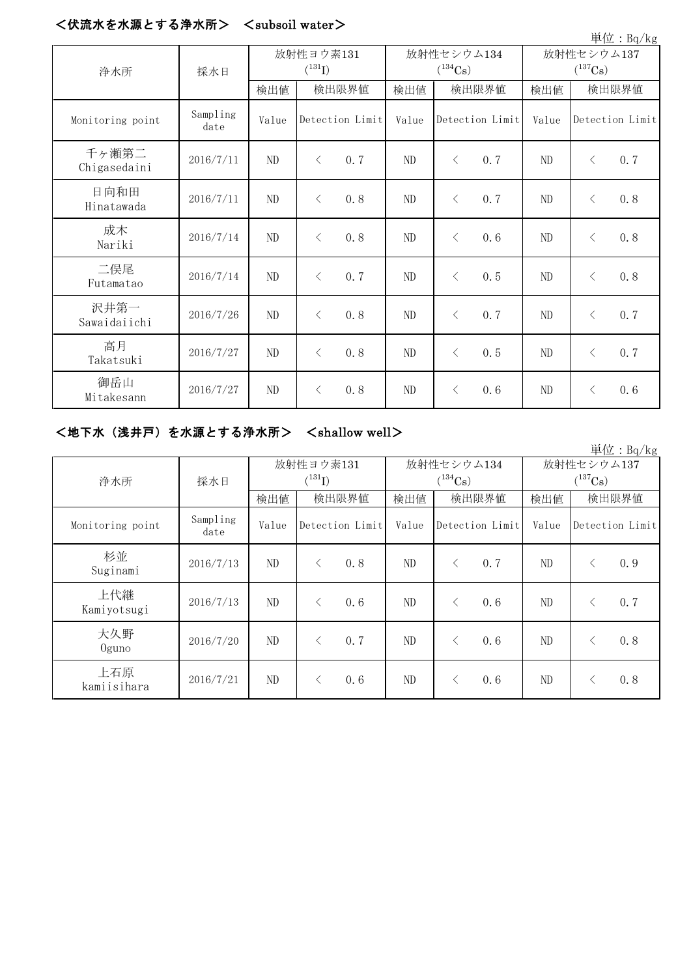#### <伏流水を水源とする浄水所> <subsoil water>

| 単位: Bq/kg             |                  |             |           |                 |              |           |                 |                       |           |                 |
|-----------------------|------------------|-------------|-----------|-----------------|--------------|-----------|-----------------|-----------------------|-----------|-----------------|
| 浄水所                   | 採水日              | 放射性ヨウ素131   |           |                 | 放射性セシウム134   |           |                 | 放射性セシウム137            |           |                 |
|                       |                  | $(^{131}I)$ |           |                 | $(^{134}Cs)$ |           |                 | $(^{137}\mathrm{Cs})$ |           |                 |
|                       |                  | 検出値         | 検出限界値     |                 | 検出値          | 検出限界値     |                 | 検出値                   | 検出限界値     |                 |
| Monitoring point      | Sampling<br>date | Value       |           | Detection Limit | Value        |           | Detection Limit | Value                 |           | Detection Limit |
| 千ヶ瀬第二<br>Chigasedaini | 2016/7/11        | $\rm ND$    | $\langle$ | 0.7             | ND           | $\lt$     | 0.7             | ND                    | $\lt$     | 0.7             |
| 日向和田<br>Hinatawada    | 2016/7/11        | $\rm ND$    | $\langle$ | 0.8             | $\rm ND$     | $\lt$     | 0.7             | ND                    | $\lt$     | 0.8             |
| 成木<br>Nariki          | 2016/7/14        | ND          | $\lt$     | 0.8             | ND           | $\lt$     | 0.6             | ND                    | $\lt$     | 0.8             |
| 二俣尾<br>Futamatao      | 2016/7/14        | $\rm ND$    | $\langle$ | 0.7             | ND           | $\langle$ | 0.5             | ND                    | $\lt$     | 0.8             |
| 沢井第一<br>Sawaidaiichi  | 2016/7/26        | ND          | $\langle$ | 0.8             | ND           | $\langle$ | 0.7             | ND                    | $\lt$     | 0.7             |
| 高月<br>Takatsuki       | 2016/7/27        | ND          | $\lt$     | 0.8             | ND           | $\langle$ | 0.5             | ND                    | $\lt$     | 0.7             |
| 御岳山<br>Mitakesann     | 2016/7/27        | $\rm ND$    | $\lt$     | 0.8             | ND           | $\langle$ | 0.6             | ND                    | $\langle$ | 0.6             |

### <地下水(浅井戸)を水源とする浄水所> <shallow well>

単位:Bq/kg 検出値 | 検出限量 | 検出限界値 | 検出値 | 検出限界値 Monitoring point Sampling<br>date date Value Value Value Detection Limit Detection Limit Detection Limit 杉並 Suginami 2016/7/13 ND <sup>&</sup>lt; 0.8 ND <sup>&</sup>lt; 0.7 ND <sup>&</sup>lt; 0.9 上代継 Kamiyotsugi 2016/7/13 ND <sup>&</sup>lt; 0.6 ND <sup>&</sup>lt; 0.6 ND <sup>&</sup>lt; 0.7 大久野 Oguno 2016/7/20 ND <sup>&</sup>lt; 0.7 ND <sup>&</sup>lt; 0.6 ND <sup>&</sup>lt; 0.8 上石原  $\frac{11}{41.675}$  2016/7/21 ND < 0.6 ND < 0.6 ND < 0.8 浄水所 | 採水日 放射性ヨウ素131  $(^{131}I)$ 放射性セシウム134  $(^{134}Cs)$ 放射性セシウム137  $(^{137}\mathrm{Cs})$